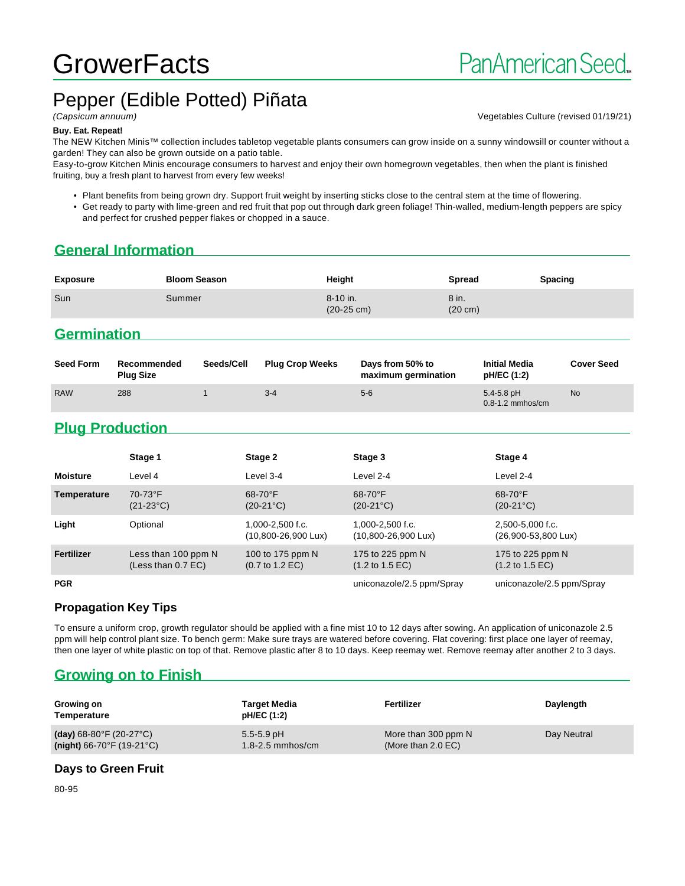# **GrowerFacts**

# Pepper (Edible Potted) Piñata

(Capsicum annuum) Vegetables Culture (revised 01/19/21)

#### **Buy. Eat. Repeat!**

The NEW Kitchen Minis™ collection includes tabletop vegetable plants consumers can grow inside on a sunny windowsill or counter without a garden! They can also be grown outside on a patio table.

Easy-to-grow Kitchen Minis encourage consumers to harvest and enjoy their own homegrown vegetables, then when the plant is finished fruiting, buy a fresh plant to harvest from every few weeks!

• Plant benefits from being grown dry. Support fruit weight by inserting sticks close to the central stem at the time of flowering.

• Get ready to party with lime-green and red fruit that pop out through dark green foliage! Thin-walled, medium-length peppers are spicy and perfect for crushed pepper flakes or chopped in a sauce.

### **General Information**

| <b>Exposure</b> | <b>Bloom Season</b> | Height                               | Spread                     | <b>Spacing</b> |
|-----------------|---------------------|--------------------------------------|----------------------------|----------------|
| Sun             | Summer              | $8 - 10$ in.<br>$(20-25 \text{ cm})$ | 8 in.<br>$(20 \text{ cm})$ |                |

#### **Germination**

| <b>Seed Form</b> | Recommended<br><b>Plug Size</b> | Seeds/Cell | <b>Plug Crop Weeks</b> | Days from 50% to<br>maximum germination | <b>Initial Media</b><br>pH/EC (1:2)    | <b>Cover Seed</b> |
|------------------|---------------------------------|------------|------------------------|-----------------------------------------|----------------------------------------|-------------------|
| <b>RAW</b>       | 288                             |            | $3 - 4$                | $5-6$                                   | $5.4 - 5.8$ pH<br>$0.8 - 1.2$ mmhos/cm | <b>No</b>         |

# **Plug Production**

|                 | Stage 1                                     | Stage 2                                                | Stage 3                                                 | Stage 4                                                |
|-----------------|---------------------------------------------|--------------------------------------------------------|---------------------------------------------------------|--------------------------------------------------------|
| <b>Moisture</b> | Level 4                                     | Level 3-4                                              | Level 2-4                                               | Level 2-4                                              |
| Temperature     | 70-73°F<br>$(21-23°C)$                      | $68-70$ °F<br>$(20-21^{\circ}C)$                       | $68-70$ °F<br>$(20-21^{\circ}C)$                        | $68-70$ °F<br>$(20-21^{\circ}C)$                       |
| Light           | Optional                                    | $1.000 - 2.500$ f.c.<br>(10,800-26,900 Lux)            | $1.000 - 2.500$ f.c.<br>$(10,800 - 26,900 \text{ Lux})$ | 2,500-5,000 f.c.<br>(26,900-53,800 Lux)                |
| Fertilizer      | Less than 100 ppm N<br>(Less than $0.7$ EC) | 100 to 175 ppm N<br>$(0.7 \text{ to } 1.2 \text{ EC})$ | 175 to 225 ppm N<br>$(1.2 \text{ to } 1.5 \text{ EC})$  | 175 to 225 ppm N<br>$(1.2 \text{ to } 1.5 \text{ EC})$ |
| <b>PGR</b>      |                                             |                                                        | uniconazole/2.5 ppm/Spray                               | uniconazole/2.5 ppm/Spray                              |

#### **Propagation Key Tips**

To ensure a uniform crop, growth regulator should be applied with a fine mist 10 to 12 days after sowing. An application of uniconazole 2.5 ppm will help control plant size. To bench germ: Make sure trays are watered before covering. Flat covering: first place one layer of reemay, then one layer of white plastic on top of that. Remove plastic after 8 to 10 days. Keep reemay wet. Remove reemay after another 2 to 3 days.

#### **Growing on to Finish**

| Growing on<br>Temperature                      | <b>Target Media</b><br>pH/EC (1:2) | Fertilizer                    | Daylength   |
|------------------------------------------------|------------------------------------|-------------------------------|-------------|
| (day) $68-80^{\circ}$ F (20-27 $^{\circ}$ C)   | $5.5 - 5.9$ pH                     | More than 300 ppm N           | Day Neutral |
| (night) $66-70^{\circ}$ F (19-21 $^{\circ}$ C) | $1.8 - 2.5$ mmhos/cm               | (More than $2.0 \text{ EC}$ ) |             |

#### **Days to Green Fruit**

80-95